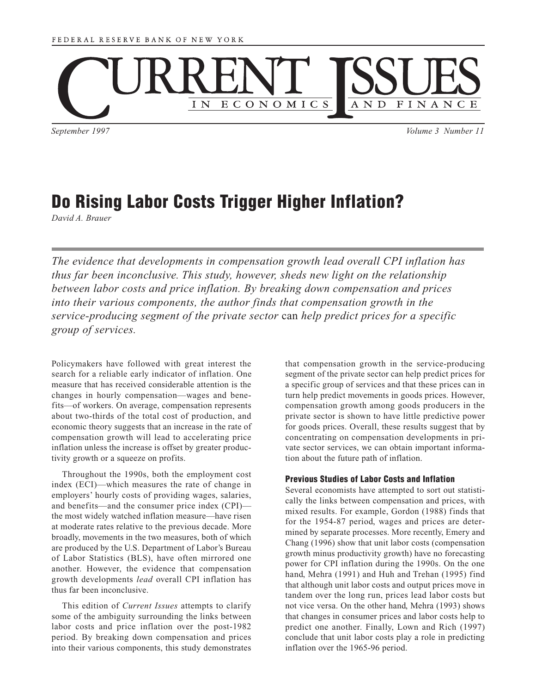

*September 1997 Volume 3 Number 11*

# **Do Rising Labor Costs Trigger Higher Inflation?**

*David A. Brauer*

*The evidence that developments in compensation growth lead overall CPI inflation has thus far been inconclusive. This study, however, sheds new light on the relationship between labor costs and price inflation. By breaking down compensation and prices*  into their various components, the author finds that compensation growth in the *service-producing segment of the private sector* can *help predict prices for a specific group of services.*

Policymakers have followed with great interest the search for a reliable early indicator of inflation. One measure that has received considerable attention is the changes in hourly compensation—wages and benefits—of workers. On average, compensation represents about two-thirds of the total cost of production, and economic theory suggests that an increase in the rate of compensation growth will lead to accelerating price inflation unless the increase is offset by greater productivity growth or a squeeze on profits.

Throughout the 1990s, both the employment cost index (ECI)—which measures the rate of change in employers' hourly costs of providing wages, salaries, and benefits—and the consumer price index (CPI) the most widely watched inflation measure—have risen at moderate rates relative to the previous decade. More broadly, movements in the two measures, both of which are produced by the U.S. Department of Labor's Bureau of Labor Statistics (BLS), have often mirrored one another. However, the evidence that compensation growth developments *lead* overall CPI inflation has thus far been inconclusive.

This edition of *Current Issues* attempts to clarify some of the ambiguity surrounding the links between labor costs and price inflation over the post-1982 period. By breaking down compensation and prices into their various components, this study demonstrates that compensation growth in the service-producing segment of the private sector can help predict prices for a specific group of services and that these prices can in turn help predict movements in goods prices. However, compensation growth among goods producers in the private sector is shown to have little predictive power for goods prices. Overall, these results suggest that by concentrating on compensation developments in private sector services, we can obtain important information about the future path of inflation.

# **Previous Studies of Labor Costs and Inflation**

Several economists have attempted to sort out statistically the links between compensation and prices, with mixed results. For example, Gordon (1988) finds that for the 1954-87 period, wages and prices are determined by separate processes. More recently, Emery and Chang (1996) show that unit labor costs (compensation growth minus productivity growth) have no forecasting power for CPI inflation during the 1990s. On the one hand, Mehra (1991) and Huh and Trehan (1995) find that although unit labor costs and output prices move in tandem over the long run, prices lead labor costs but not vice versa. On the other hand, Mehra (1993) shows that changes in consumer prices and labor costs help to predict one another. Finally, Lown and Rich (1997) conclude that unit labor costs play a role in predicting inflation over the 1965-96 period.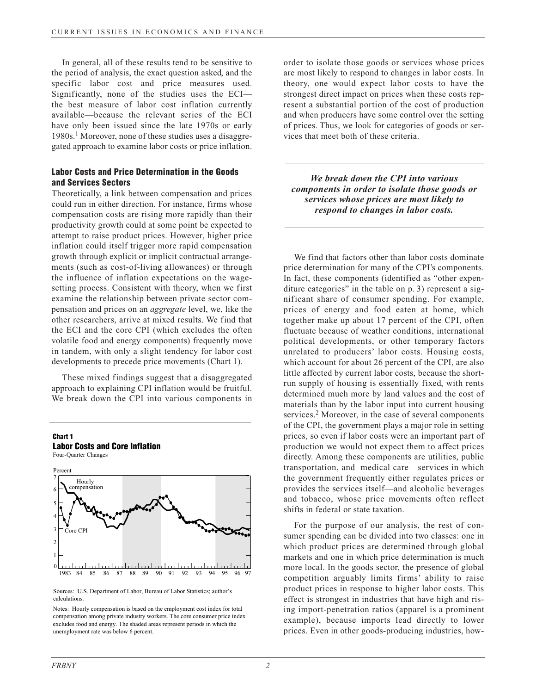In general, all of these results tend to be sensitive to the period of analysis, the exact question asked, and the specific labor cost and price measures used. Significantly, none of the studies uses the ECI the best measure of labor cost inflation currently available—because the relevant series of the ECI have only been issued since the late 1970s or early 1980s.<sup>1</sup> Moreover, none of these studies uses a disaggregated approach to examine labor costs or price inflation.

# **Labor Costs and Price Determination in the Goods and Services Sectors**

Theoretically, a link between compensation and prices could run in either direction. For instance, firms whose compensation costs are rising more rapidly than their productivity growth could at some point be expected to attempt to raise product prices. However, higher price inflation could itself trigger more rapid compensation growth through explicit or implicit contractual arrangements (such as cost-of-living allowances) or through the influence of inflation expectations on the wagesetting process. Consistent with theory, when we first examine the relationship between private sector compensation and prices on an *aggregate* level, we, like the other researchers, arrive at mixed results. We find that the ECI and the core CPI (which excludes the often volatile food and energy components) frequently move in tandem, with only a slight tendency for labor cost developments to precede price movements (Chart 1).

These mixed findings suggest that a disaggregated approach to explaining CPI inflation would be fruitful. We break down the CPI into various components in

# **Chart 1**







Sources: U.S. Department of Labor, Bureau of Labor Statistics; author's calculations.

Notes: Hourly compensation is based on the employment cost index for total compensation among private industry workers. The core consumer price index excludes food and energy. The shaded areas represent periods in which the unemployment rate was below 6 percent.

order to isolate those goods or services whose prices are most likely to respond to changes in labor costs. In theory, one would expect labor costs to have the strongest direct impact on prices when these costs represent a substantial portion of the cost of production and when producers have some control over the setting of prices. Thus, we look for categories of goods or services that meet both of these criteria.

*We break down the CPI into various components in order to isolate those goods or services whose prices are most likely to respond to changes in labor costs.*

We find that factors other than labor costs dominate price determination for many of the CPI's components. In fact, these components (identified as "other expenditure categories" in the table on p. 3) represent a significant share of consumer spending. For example, prices of energy and food eaten at home, which together make up about 17 percent of the CPI, often fluctuate because of weather conditions, international political developments, or other temporary factors unrelated to producers' labor costs. Housing costs, which account for about 26 percent of the CPI, are also little affected by current labor costs, because the shortrun supply of housing is essentially fixed, with rents determined much more by land values and the cost of materials than by the labor input into current housing services.<sup>2</sup> Moreover, in the case of several components of the CPI, the government plays a major role in setting prices, so even if labor costs were an important part of production we would not expect them to affect prices directly. Among these components are utilities, public transportation, and medical care—services in which the government frequently either regulates prices or provides the services itself—and alcoholic beverages and tobacco, whose price movements often reflect shifts in federal or state taxation.

For the purpose of our analysis, the rest of consumer spending can be divided into two classes: one in which product prices are determined through global markets and one in which price determination is much more local. In the goods sector, the presence of global competition arguably limits firms' ability to raise product prices in response to higher labor costs. This effect is strongest in industries that have high and rising import-penetration ratios (apparel is a prominent example), because imports lead directly to lower prices. Even in other goods-producing industries, how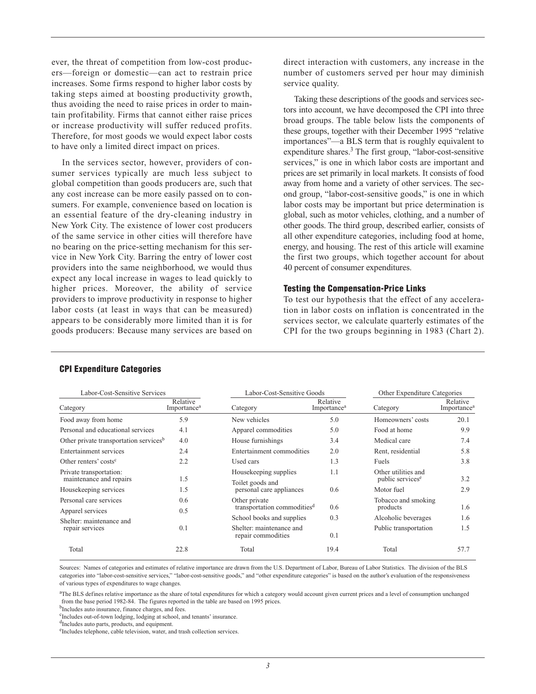ever, the threat of competition from low-cost producers—foreign or domestic—can act to restrain price increases. Some firms respond to higher labor costs by taking steps aimed at boosting productivity growth, thus avoiding the need to raise prices in order to maintain profitability. Firms that cannot either raise prices or increase productivity will suffer reduced profits. Therefore, for most goods we would expect labor costs to have only a limited direct impact on prices.

In the services sector, however, providers of consumer services typically are much less subject to global competition than goods producers are, such that any cost increase can be more easily passed on to consumers. For example, convenience based on location is an essential feature of the dry-cleaning industry in New York City. The existence of lower cost producers of the same service in other cities will therefore have no bearing on the price-setting mechanism for this service in New York City. Barring the entry of lower cost providers into the same neighborhood, we would thus expect any local increase in wages to lead quickly to higher prices. Moreover, the ability of service providers to improve productivity in response to higher labor costs (at least in ways that can be measured) appears to be considerably more limited than it is for goods producers: Because many services are based on direct interaction with customers, any increase in the number of customers served per hour may diminish service quality.

Taking these descriptions of the goods and services sectors into account, we have decomposed the CPI into three broad groups. The table below lists the components of these groups, together with their December 1995 "relative importances"—a BLS term that is roughly equivalent to expenditure shares.3 The first group, "labor-cost-sensitive services," is one in which labor costs are important and prices are set primarily in local markets. It consists of food away from home and a variety of other services. The second group, "labor-cost-sensitive goods," is one in which labor costs may be important but price determination is global, such as motor vehicles, clothing, and a number of other goods. The third group, described earlier, consists of all other expenditure categories, including food at home, energy, and housing. The rest of this article will examine the first two groups, which together account for about 40 percent of consumer expenditures.

### **Testing the Compensation-Price Links**

To test our hypothesis that the effect of any acceleration in labor costs on inflation is concentrated in the services sector, we calculate quarterly estimates of the CPI for the two groups beginning in 1983 (Chart 2).

| Labor-Cost-Sensitive Services                      |                                     | Labor-Cost-Sensitive Goods                               |                                     | Other Expenditure Categories                        |                                     |
|----------------------------------------------------|-------------------------------------|----------------------------------------------------------|-------------------------------------|-----------------------------------------------------|-------------------------------------|
| Category                                           | Relative<br>Importance <sup>a</sup> | Category                                                 | Relative<br>Importance <sup>a</sup> | Category                                            | Relative<br>Importance <sup>a</sup> |
| Food away from home                                | 5.9                                 | New vehicles                                             | 5.0                                 | Homeowners' costs                                   | 20.1                                |
| Personal and educational services                  | 4.1                                 | Apparel commodities                                      | 5.0                                 | Food at home                                        | 9.9                                 |
| Other private transportation services <sup>b</sup> | 4.0                                 | House furnishings                                        | 3.4                                 | Medical care                                        | 7.4                                 |
| Entertainment services                             | 2.4                                 | Entertainment commodities                                | 2.0                                 | Rent, residential                                   | 5.8                                 |
| Other renters' costs <sup>c</sup>                  | 2.2                                 | Used cars                                                | 1.3                                 | Fuels                                               | 3.8                                 |
| Private transportation:<br>maintenance and repairs | 1.5                                 | Housekeeping supplies<br>Toilet goods and                | 1.1                                 | Other utilities and<br>public services <sup>e</sup> | 3.2                                 |
| Housekeeping services                              | 1.5                                 | personal care appliances                                 | 0.6                                 | Motor fuel                                          | 2.9                                 |
| Personal care services<br>Apparel services         | 0.6<br>0.5                          | Other private<br>transportation commodities <sup>d</sup> | 0.6                                 | Tobacco and smoking<br>products                     | 1.6                                 |
| Shelter: maintenance and                           |                                     | School books and supplies                                | 0.3                                 | Alcoholic beverages                                 | 1.6                                 |
| repair services                                    | 0.1                                 | Shelter: maintenance and<br>repair commodities           | 0.1                                 | Public transportation                               | 1.5                                 |
| Total                                              | 22.8                                | Total                                                    | 19.4                                | Total                                               | 57.7                                |

#### **CPI Expenditure Categories**

Sources: Names of categories and estimates of relative importance are drawn from the U.S. Department of Labor, Bureau of Labor Statistics. The division of the BLS categories into "labor-cost-sensitive services," "labor-cost-sensitive goods," and "other expenditure categories" is based on the author's evaluation of the responsiveness of various types of expenditures to wage changes.

<sup>a</sup>The BLS defines relative importance as the share of total expenditures for which a category would account given current prices and a level of consumption unchanged from the base period 1982-84. The figures reported in the table are based on 1995 prices. bIncludes auto insurance, finance charges, and fees.

 ${}^{\text{c}}$ Includes out-of-town lodging, lodging at school, and tenants' insurance.  ${}^{\text{d}}$ Includes auto parts, products, and equipment.

<sup>e</sup>Includes telephone, cable television, water, and trash collection services.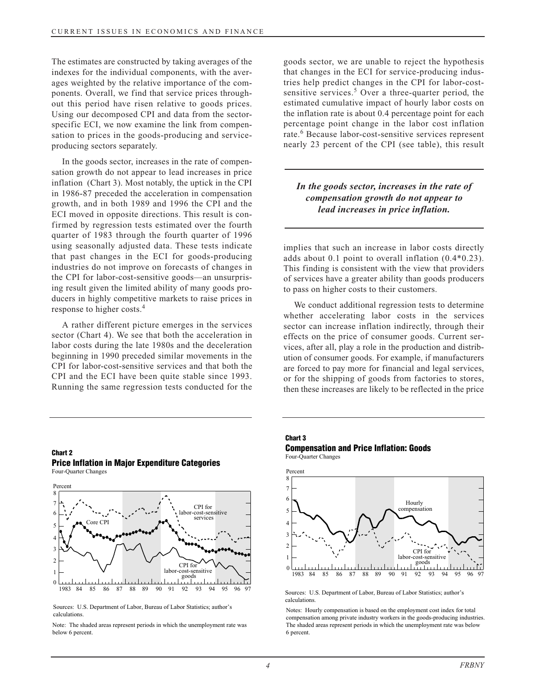The estimates are constructed by taking averages of the indexes for the individual components, with the averages weighted by the relative importance of the components. Overall, we find that service prices throughout this period have risen relative to goods prices. Using our decomposed CPI and data from the sectorspecific ECI, we now examine the link from compensation to prices in the goods-producing and serviceproducing sectors separately.

In the goods sector, increases in the rate of compensation growth do not appear to lead increases in price inflation (Chart 3). Most notably, the uptick in the CPI in 1986-87 preceded the acceleration in compensation growth, and in both 1989 and 1996 the CPI and the ECI moved in opposite directions. This result is confirmed by regression tests estimated over the fourth quarter of 1983 through the fourth quarter of 1996 using seasonally adjusted data. These tests indicate that past changes in the ECI for goods-producing industries do not improve on forecasts of changes in the CPI for labor-cost-sensitive goods—an unsurprising result given the limited ability of many goods producers in highly competitive markets to raise prices in response to higher costs.<sup>4</sup>

A rather different picture emerges in the services sector (Chart 4). We see that both the acceleration in labor costs during the late 1980s and the deceleration beginning in 1990 preceded similar movements in the CPI for labor-cost-sensitive services and that both the CPI and the ECI have been quite stable since 1993. Running the same regression tests conducted for the

goods sector, we are unable to reject the hypothesis that changes in the ECI for service-producing industries help predict changes in the CPI for labor-costsensitive services.<sup>5</sup> Over a three-quarter period, the estimated cumulative impact of hourly labor costs on the inflation rate is about 0.4 percentage point for each percentage point change in the labor cost inflation rate.<sup>6</sup> Because labor-cost-sensitive services represent nearly 23 percent of the CPI (see table), this result

# *In the goods sector, increases in the rate of compensation growth do not appear to lead increases in price inflation.*

implies that such an increase in labor costs directly adds about 0.1 point to overall inflation (0.4\*0.23). This finding is consistent with the view that providers of services have a greater ability than goods producers to pass on higher costs to their customers.

We conduct additional regression tests to determine whether accelerating labor costs in the services sector can increase inflation indirectly, through their effects on the price of consumer goods. Current services, after all, play a role in the production and distribution of consumer goods. For example, if manufacturers are forced to pay more for financial and legal services, or for the shipping of goods from factories to stores, then these increases are likely to be reflected in the price

# **Chart 2 Price Inflation in Major Expenditure Categories**

Four-Quarter Changes



Sources: U.S. Department of Labor, Bureau of Labor Statistics; author's calculations.

Note: The shaded areas represent periods in which the unemployment rate was below 6 percent.

## **Chart 3**

#### **Compensation and Price Inflation: Goods** Four-Quarter Changes



Sources: U.S. Department of Labor, Bureau of Labor Statistics; author's calculations.

Notes: Hourly compensation is based on the employment cost index for total compensation among private industry workers in the goods-producing industries. The shaded areas represent periods in which the unemployment rate was below 6 percent.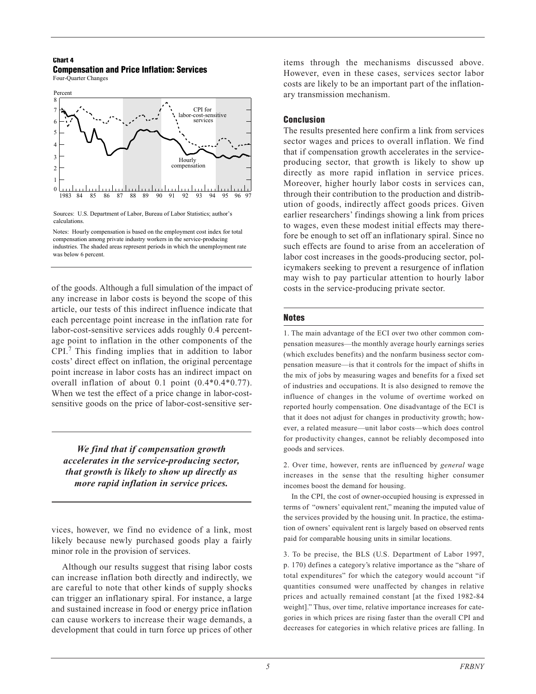## **Chart 4 Compensation and Price Inflation: Services**

Four-Quarter Changes



Sources: U.S. Department of Labor, Bureau of Labor Statistics; author's calculations.

Notes: Hourly compensation is based on the employment cost index for total compensation among private industry workers in the service-producing industries. The shaded areas represent periods in which the unemployment rate was below 6 percent.

of the goods. Although a full simulation of the impact of any increase in labor costs is beyond the scope of this article, our tests of this indirect influence indicate that each percentage point increase in the inflation rate for labor-cost-sensitive services adds roughly 0.4 percentage point to inflation in the other components of the CPI.<sup>7</sup> This finding implies that in addition to labor costs' direct effect on inflation, the original percentage point increase in labor costs has an indirect impact on overall inflation of about 0.1 point (0.4\*0.4\*0.77). When we test the effect of a price change in labor-costsensitive goods on the price of labor-cost-sensitive ser-

*We find that if compensation growth accelerates in the service-producing sector, that growth is likely to show up directly as more rapid inflation in service prices.*

vices, however, we find no evidence of a link, most likely because newly purchased goods play a fairly minor role in the provision of services.

Although our results suggest that rising labor costs can increase inflation both directly and indirectly, we are careful to note that other kinds of supply shocks can trigger an inflationary spiral. For instance, a large and sustained increase in food or energy price inflation can cause workers to increase their wage demands, a development that could in turn force up prices of other items through the mechanisms discussed above. However, even in these cases, services sector labor costs are likely to be an important part of the inflationary transmission mechanism.

# **Conclusion**

The results presented here confirm a link from services sector wages and prices to overall inflation. We find that if compensation growth accelerates in the serviceproducing sector, that growth is likely to show up directly as more rapid inflation in service prices. Moreover, higher hourly labor costs in services can, through their contribution to the production and distribution of goods, indirectly affect goods prices. Given earlier researchers' findings showing a link from prices to wages, even these modest initial effects may therefore be enough to set off an inflationary spiral. Since no such effects are found to arise from an acceleration of labor cost increases in the goods-producing sector, policymakers seeking to prevent a resurgence of inflation may wish to pay particular attention to hourly labor costs in the service-producing private sector.

# **Notes**

1. The main advantage of the ECI over two other common compensation measures—the monthly average hourly earnings series (which excludes benefits) and the nonfarm business sector compensation measure—is that it controls for the impact of shifts in the mix of jobs by measuring wages and benefits for a fixed set of industries and occupations. It is also designed to remove the influence of changes in the volume of overtime worked on reported hourly compensation. One disadvantage of the ECI is that it does not adjust for changes in productivity growth; however, a related measure—unit labor costs—which does control for productivity changes, cannot be reliably decomposed into goods and services.

2. Over time, however, rents are influenced by *general* wage increases in the sense that the resulting higher consumer incomes boost the demand for housing.

In the CPI, the cost of owner-occupied housing is expressed in terms of "owners' equivalent rent," meaning the imputed value of the services provided by the housing unit. In practice, the estimation of owners' equivalent rent is largely based on observed rents paid for comparable housing units in similar locations.

3. To be precise, the BLS (U.S. Department of Labor 1997, p. 170) defines a category's relative importance as the "share of total expenditures" for which the category would account "if quantities consumed were unaffected by changes in relative prices and actually remained constant [at the fixed 1982-84 weight]." Thus, over time, relative importance increases for categories in which prices are rising faster than the overall CPI and decreases for categories in which relative prices are falling. In